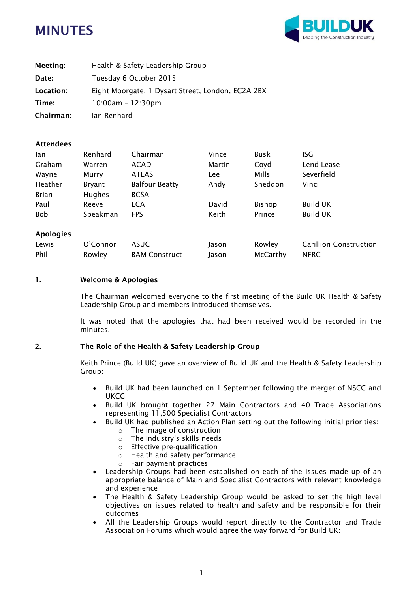# **MINUTES**



| Meeting:  | Health & Safety Leadership Group                  |
|-----------|---------------------------------------------------|
| Date:     | Tuesday 6 October 2015                            |
| Location: | Eight Moorgate, 1 Dysart Street, London, EC2A 2BX |
| Time:     | $10:00am - 12:30pm$                               |
| Chairman: | lan Renhard                                       |

## **Attendees**

| lan              | Renhard       | Chairman              | Vince  | <b>Busk</b> | <b>ISG</b>      |
|------------------|---------------|-----------------------|--------|-------------|-----------------|
| Graham           | Warren        | <b>ACAD</b>           | Martin | Coyd        | Lend Lease      |
| Wayne            | Murry         | <b>ATLAS</b>          | Lee    | Mills       | Severfield      |
| Heather          | Bryant        | <b>Balfour Beatty</b> | Andy   | Sneddon     | Vinci           |
| <b>Brian</b>     | <b>Hughes</b> | <b>BCSA</b>           |        |             |                 |
| Paul             | Reeve         | <b>ECA</b>            | David  | Bishop      | <b>Build UK</b> |
| <b>Bob</b>       | Speakman      | <b>FPS</b>            | Keith  | Prince      | <b>Build UK</b> |
| <b>Apologies</b> |               |                       |        |             |                 |

| Lewis | O'Connor | <b>ASUC</b>          | lason | Rowley   | <b>Carillion Construction</b> |
|-------|----------|----------------------|-------|----------|-------------------------------|
| Phil  | Rowley   | <b>BAM Construct</b> | lason | McCarthy | <b>NFRC</b>                   |

## **1. Welcome & Apologies**

The Chairman welcomed everyone to the first meeting of the Build UK Health & Safety Leadership Group and members introduced themselves.

It was noted that the apologies that had been received would be recorded in the minutes.

# **2. The Role of the Health & Safety Leadership Group**

Keith Prince (Build UK) gave an overview of Build UK and the Health & Safety Leadership Group:

- Build UK had been launched on 1 September following the merger of NSCC and UKCG
- Build UK brought together 27 Main Contractors and 40 Trade Associations representing 11,500 Specialist Contractors
- Build UK had published an Action Plan setting out the following initial priorities:
	- o The image of construction
	- o The industry's skills needs
	- o Effective pre-qualification
	- o Health and safety performance
	- o Fair payment practices
- Leadership Groups had been established on each of the issues made up of an appropriate balance of Main and Specialist Contractors with relevant knowledge and experience
- The Health & Safety Leadership Group would be asked to set the high level objectives on issues related to health and safety and be responsible for their outcomes
- All the Leadership Groups would report directly to the Contractor and Trade Association Forums which would agree the way forward for Build UK: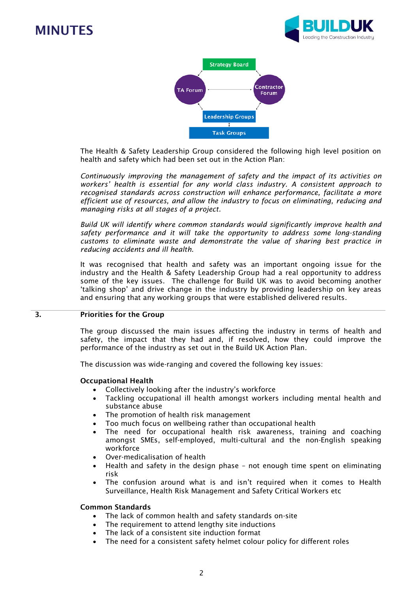# **MINUTES**





The Health & Safety Leadership Group considered the following high level position on health and safety which had been set out in the Action Plan:

*Continuously improving the management of safety and the impact of its activities on workers' health is essential for any world class industry. A consistent approach to recognised standards across construction will enhance performance, facilitate a more efficient use of resources, and allow the industry to focus on eliminating, reducing and managing risks at all stages of a project.*

*Build UK will identify where common standards would significantly improve health and safety performance and it will take the opportunity to address some long-standing customs to eliminate waste and demonstrate the value of sharing best practice in reducing accidents and ill health.*

It was recognised that health and safety was an important ongoing issue for the industry and the Health & Safety Leadership Group had a real opportunity to address some of the key issues. The challenge for Build UK was to avoid becoming another 'talking shop' and drive change in the industry by providing leadership on key areas and ensuring that any working groups that were established delivered results.

## **3. Priorities for the Group**

The group discussed the main issues affecting the industry in terms of health and safety, the impact that they had and, if resolved, how they could improve the performance of the industry as set out in the Build UK Action Plan.

The discussion was wide-ranging and covered the following key issues:

## **Occupational Health**

- Collectively looking after the industry's workforce
- Tackling occupational ill health amongst workers including mental health and substance abuse
- The promotion of health risk management
- Too much focus on wellbeing rather than occupational health
- The need for occupational health risk awareness, training and coaching amongst SMEs, self-employed, multi-cultural and the non-English speaking workforce
- Over-medicalisation of health
- Health and safety in the design phase not enough time spent on eliminating risk
- The confusion around what is and isn't required when it comes to Health Surveillance, Health Risk Management and Safety Critical Workers etc

#### **Common Standards**

- The lack of common health and safety standards on-site
- The requirement to attend lengthy site inductions
- The lack of a consistent site induction format
- The need for a consistent safety helmet colour policy for different roles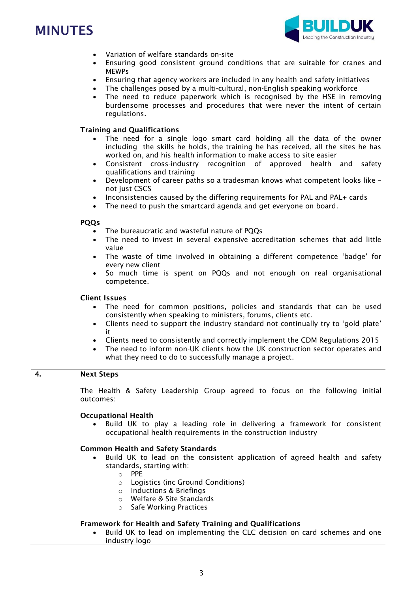# **MINUTES**



- Variation of welfare standards on-site
- Ensuring good consistent ground conditions that are suitable for cranes and MEWPs
- Ensuring that agency workers are included in any health and safety initiatives
- The challenges posed by a multi-cultural, non-English speaking workforce
- The need to reduce paperwork which is recognised by the HSE in removing burdensome processes and procedures that were never the intent of certain regulations.

## **Training and Qualifications**

- The need for a single logo smart card holding all the data of the owner including the skills he holds, the training he has received, all the sites he has worked on, and his health information to make access to site easier
- Consistent cross-industry recognition of approved health and safety qualifications and training
- Development of career paths so a tradesman knows what competent looks like not just CSCS
- Inconsistencies caused by the differing requirements for PAL and PAL+ cards
- The need to push the smartcard agenda and get everyone on board.

#### **PQQs**

- The bureaucratic and wasteful nature of PQQs
- The need to invest in several expensive accreditation schemes that add little value
- The waste of time involved in obtaining a different competence 'badge' for every new client
- So much time is spent on PQQs and not enough on real organisational competence.

## **Client Issues**

- The need for common positions, policies and standards that can be used consistently when speaking to ministers, forums, clients etc.
- Clients need to support the industry standard not continually try to 'gold plate' it
- Clients need to consistently and correctly implement the CDM Regulations 2015
- The need to inform non-UK clients how the UK construction sector operates and what they need to do to successfully manage a project.

# **4. Next Steps**

The Health & Safety Leadership Group agreed to focus on the following initial outcomes:

## **Occupational Health**

 Build UK to play a leading role in delivering a framework for consistent occupational health requirements in the construction industry

## **Common Health and Safety Standards**

- Build UK to lead on the consistent application of agreed health and safety standards, starting with:
	- o PPE
	- o Logistics (inc Ground Conditions)
	- o Inductions & Briefings
	- o Welfare & Site Standards
	- o Safe Working Practices

## **Framework for Health and Safety Training and Qualifications**

 Build UK to lead on implementing the CLC decision on card schemes and one industry logo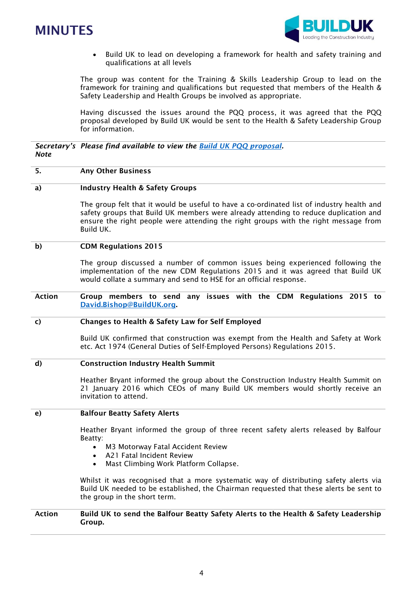



 Build UK to lead on developing a framework for health and safety training and qualifications at all levels

The group was content for the Training & Skills Leadership Group to lead on the framework for training and qualifications but requested that members of the Health & Safety Leadership and Health Groups be involved as appropriate.

Having discussed the issues around the PQQ process, it was agreed that the PQQ proposal developed by Build UK would be sent to the Health & Safety Leadership Group for information.

*Secretary's Please find available to view the [Build UK PQQ proposal.](http://builduk.org/wp-content/uploads/2015/10/Pre-Qualification-Proposal-Contractor-Trade-Association-Forums-21.10.2015.pdf) Note*

#### **5. Any Other Business**

#### **a) Industry Health & Safety Groups**

The group felt that it would be useful to have a co-ordinated list of industry health and safety groups that Build UK members were already attending to reduce duplication and ensure the right people were attending the right groups with the right message from Build UK.

#### **b) CDM Regulations 2015**

The group discussed a number of common issues being experienced following the implementation of the new CDM Regulations 2015 and it was agreed that Build UK would collate a summary and send to HSE for an official response.

**Action Group members to send any issues with the CDM Regulations 2015 to [David.Bishop@BuildUK.org.](mailto:David.Bishop@BuildUK.org)** 

#### **c) Changes to Health & Safety Law for Self Employed**

Build UK confirmed that construction was exempt from the Health and Safety at Work etc. Act 1974 (General Duties of Self-Employed Persons) Regulations 2015.

#### **d) Construction Industry Health Summit**

Heather Bryant informed the group about the Construction Industry Health Summit on 21 January 2016 which CEOs of many Build UK members would shortly receive an invitation to attend.

#### **e) Balfour Beatty Safety Alerts**

Heather Bryant informed the group of three recent safety alerts released by Balfour Beatty:

- M3 Motorway Fatal Accident Review
- A21 Fatal Incident Review
- Mast Climbing Work Platform Collapse.

Whilst it was recognised that a more systematic way of distributing safety alerts via Build UK needed to be established, the Chairman requested that these alerts be sent to the group in the short term.

### **Action Build UK to send the Balfour Beatty Safety Alerts to the Health & Safety Leadership Group.**